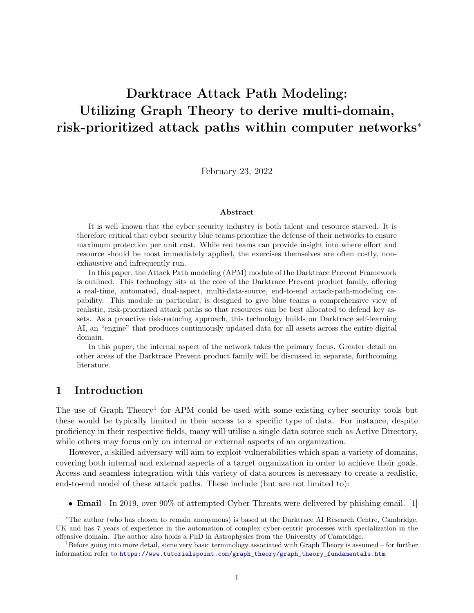# Darktrace Attack Path Modeling: Utilizing Graph Theory to derive multi-domain, risk-prioritized attack paths within computer networks<sup>∗</sup>

February 23, 2022

#### Abstract

It is well known that the cyber security industry is both talent and resource starved. It is therefore critical that cyber security blue teams prioritize the defense of their networks to ensure maximum protection per unit cost. While red teams can provide insight into where effort and resource should be most immediately applied, the exercises themselves are often costly, nonexhaustive and infrequently run.

In this paper, the Attack Path modeling (APM) module of the Darktrace Prevent Framework is outlined. This technology sits at the core of the Darktrace Prevent product family, offering a real-time, automated, dual-aspect, multi-data-source, end-to-end attack-path-modeling capability. This module in particular, is designed to give blue teams a comprehensive view of realistic, risk-prioritized attack paths so that resources can be best allocated to defend key assets. As a proactive risk-reducing approach, this technology builds on Darktrace self-learning AI, an "engine" that produces continuously updated data for all assets across the entire digital domain.

In this paper, the internal aspect of the network takes the primary focus. Greater detail on other areas of the Darktrace Prevent product family will be discussed in separate, forthcoming literature.

### 1 Introduction

The use of Graph Theory<sup>[1](#page-0-0)</sup> for APM could be used with some existing cyber security tools but these would be typically limited in their access to a specific type of data. For instance, despite proficiency in their respective fields, many will utilise a single data source such as Active Directory, while others may focus only on internal or external aspects of an organization.

However, a skilled adversary will aim to exploit vulnerabilities which span a variety of domains, covering both internal and external aspects of a target organization in order to achieve their goals. Access and seamless integration with this variety of data sources is necessary to create a realistic, end-to-end model of these attack paths. These include (but are not limited to):

• **Email** - In 2019, over 90% of attempted Cyber Threats were delivered by phishing email. [\[1\]](#page-10-0)

<sup>∗</sup>The author (who has chosen to remain anonymous) is based at the Darktrace AI Research Centre, Cambridge, UK and has 7 years of experience in the automation of complex cyber-centric processes with specialization in the offensive domain. The author also holds a PhD in Astrophysics from the University of Cambridge.

<span id="page-0-0"></span> $1B$  Before going into more detail, some very basic terminology associated with Graph Theory is assumed – for further information refer to [https://www.tutorialspoint.com/graph\\_theory/graph\\_theory\\_fundamentals.htm](https://www.tutorialspoint.com/graph_theory/graph_theory_fundamentals.htm)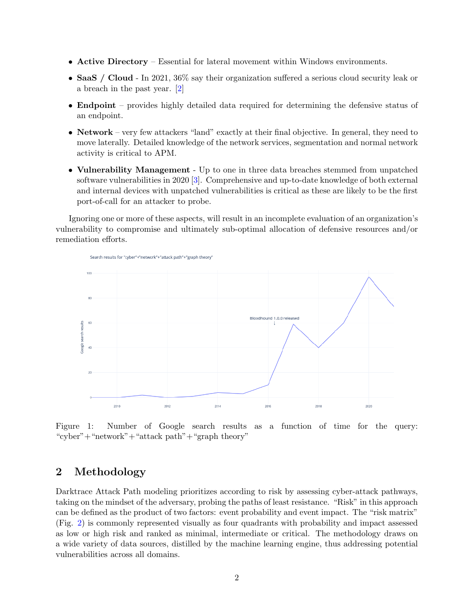- Active Directory Essential for lateral movement within Windows environments.
- SaaS / Cloud In 2021, 36% say their organization suffered a serious cloud security leak or a breach in the past year. [\[2\]](#page-10-1)
- **Endpoint** provides highly detailed data required for determining the defensive status of an endpoint.
- Network very few attackers "land" exactly at their final objective. In general, they need to move laterally. Detailed knowledge of the network services, segmentation and normal network activity is critical to APM.
- Vulnerability Management Up to one in three data breaches stemmed from unpatched software vulnerabilities in 2020 [\[3\]](#page-10-2). Comprehensive and up-to-date knowledge of both external and internal devices with unpatched vulnerabilities is critical as these are likely to be the first port-of-call for an attacker to probe.

Ignoring one or more of these aspects, will result in an incomplete evaluation of an organization's vulnerability to compromise and ultimately sub-optimal allocation of defensive resources and/or remediation efforts.



Figure 1: Number of Google search results as a function of time for the query: "cyber"+"network"+"attack path"+"graph theory"

# 2 Methodology

Darktrace Attack Path modeling prioritizes according to risk by assessing cyber-attack pathways, taking on the mindset of the adversary, probing the paths of least resistance. "Risk" in this approach can be defined as the product of two factors: event probability and event impact. The "risk matrix" (Fig. [2\)](#page-2-0) is commonly represented visually as four quadrants with probability and impact assessed as low or high risk and ranked as minimal, intermediate or critical. The methodology draws on a wide variety of data sources, distilled by the machine learning engine, thus addressing potential vulnerabilities across all domains.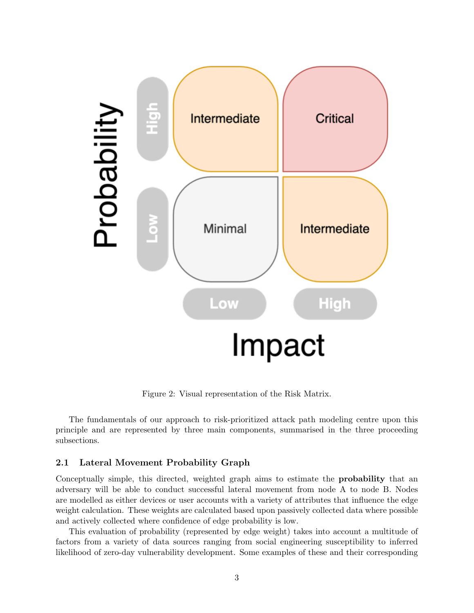

<span id="page-2-0"></span>Figure 2: Visual representation of the Risk Matrix.

The fundamentals of our approach to risk-prioritized attack path modeling centre upon this principle and are represented by three main components, summarised in the three proceeding subsections.

#### 2.1 Lateral Movement Probability Graph

Conceptually simple, this directed, weighted graph aims to estimate the probability that an adversary will be able to conduct successful lateral movement from node A to node B. Nodes are modelled as either devices or user accounts with a variety of attributes that influence the edge weight calculation. These weights are calculated based upon passively collected data where possible and actively collected where confidence of edge probability is low.

This evaluation of probability (represented by edge weight) takes into account a multitude of factors from a variety of data sources ranging from social engineering susceptibility to inferred likelihood of zero-day vulnerability development. Some examples of these and their corresponding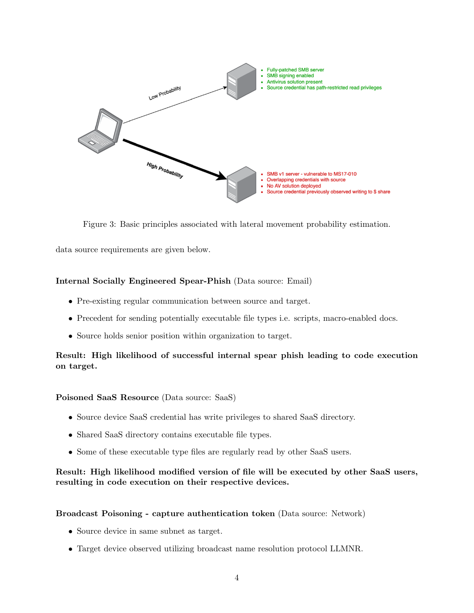

Figure 3: Basic principles associated with lateral movement probability estimation.

data source requirements are given below.

### Internal Socially Engineered Spear-Phish (Data source: Email)

- Pre-existing regular communication between source and target.
- Precedent for sending potentially executable file types i.e. scripts, macro-enabled docs.
- Source holds senior position within organization to target.

### Result: High likelihood of successful internal spear phish leading to code execution on target.

#### Poisoned SaaS Resource (Data source: SaaS)

- Source device SaaS credential has write privileges to shared SaaS directory.
- Shared SaaS directory contains executable file types.
- Some of these executable type files are regularly read by other SaaS users.

Result: High likelihood modified version of file will be executed by other SaaS users, resulting in code execution on their respective devices.

#### Broadcast Poisoning - capture authentication token (Data source: Network)

- Source device in same subnet as target.
- Target device observed utilizing broadcast name resolution protocol LLMNR.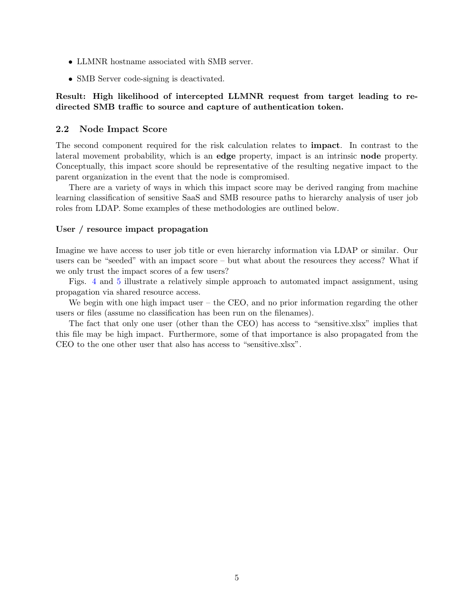- LLMNR hostname associated with SMB server.
- SMB Server code-signing is deactivated.

### Result: High likelihood of intercepted LLMNR request from target leading to redirected SMB traffic to source and capture of authentication token.

#### 2.2 Node Impact Score

The second component required for the risk calculation relates to impact. In contrast to the lateral movement probability, which is an edge property, impact is an intrinsic node property. Conceptually, this impact score should be representative of the resulting negative impact to the parent organization in the event that the node is compromised.

There are a variety of ways in which this impact score may be derived ranging from machine learning classification of sensitive SaaS and SMB resource paths to hierarchy analysis of user job roles from LDAP. Some examples of these methodologies are outlined below.

#### User / resource impact propagation

Imagine we have access to user job title or even hierarchy information via LDAP or similar. Our users can be "seeded" with an impact score – but what about the resources they access? What if we only trust the impact scores of a few users?

Figs. [4](#page-5-0) and [5](#page-6-0) illustrate a relatively simple approach to automated impact assignment, using propagation via shared resource access.

We begin with one high impact user – the CEO, and no prior information regarding the other users or files (assume no classification has been run on the filenames).

The fact that only one user (other than the CEO) has access to "sensitive.xlsx" implies that this file may be high impact. Furthermore, some of that importance is also propagated from the CEO to the one other user that also has access to "sensitive.xlsx".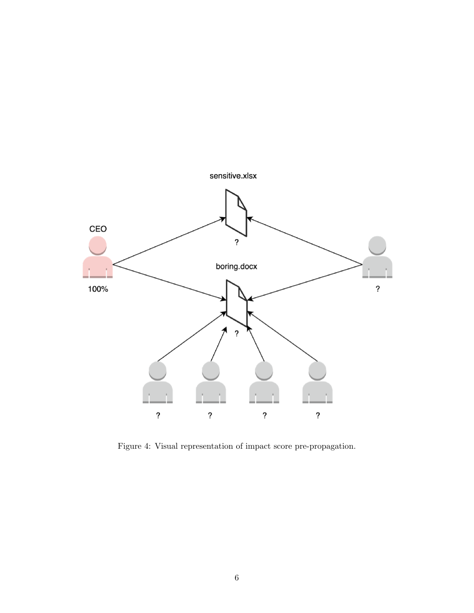

<span id="page-5-0"></span>Figure 4: Visual representation of impact score pre-propagation.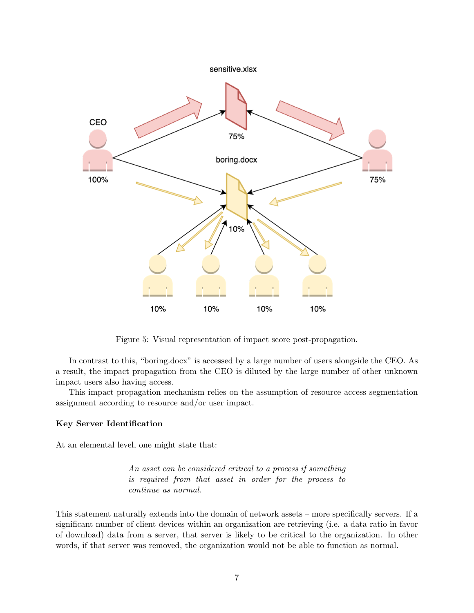

<span id="page-6-0"></span>Figure 5: Visual representation of impact score post-propagation.

In contrast to this, "boring.docx" is accessed by a large number of users alongside the CEO. As a result, the impact propagation from the CEO is diluted by the large number of other unknown impact users also having access.

This impact propagation mechanism relies on the assumption of resource access segmentation assignment according to resource and/or user impact.

#### Key Server Identification

At an elemental level, one might state that:

An asset can be considered critical to a process if something is required from that asset in order for the process to continue as normal.

This statement naturally extends into the domain of network assets – more specifically servers. If a significant number of client devices within an organization are retrieving (i.e. a data ratio in favor of download) data from a server, that server is likely to be critical to the organization. In other words, if that server was removed, the organization would not be able to function as normal.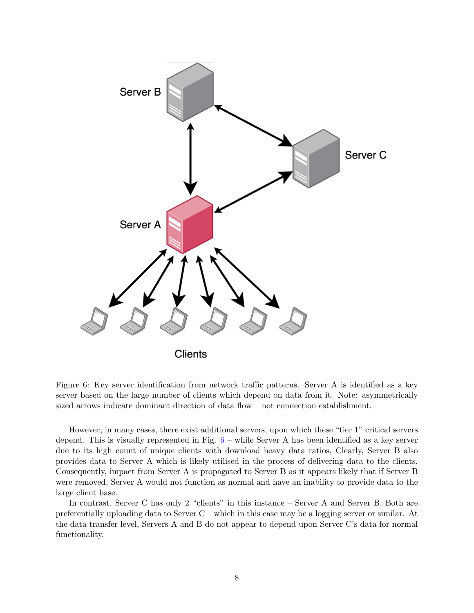

<span id="page-7-0"></span>Figure 6: Key server identification from network traffic patterns. Server A is identified as a key server based on the large number of clients which depend on data from it. Note: asymmetrically sized arrows indicate dominant direction of data flow – not connection establishment.

However, in many cases, there exist additional servers, upon which these "tier 1" critical servers depend. This is visually represented in Fig. [6](#page-7-0) – while Server A has been identified as a key server due to its high count of unique clients with download heavy data ratios, Clearly, Server B also provides data to Server A which is likely utilised in the process of delivering data to the clients. Consequently, impact from Server A is propagated to Server B as it appears likely that if Server B were removed, Server A would not function as normal and have an inability to provide data to the large client base.

In contrast, Server C has only 2 "clients" in this instance – Server A and Server B. Both are preferentially uploading data to Server C – which in this case may be a logging server or similar. At the data transfer level, Servers A and B do not appear to depend upon Server C's data for normal functionality.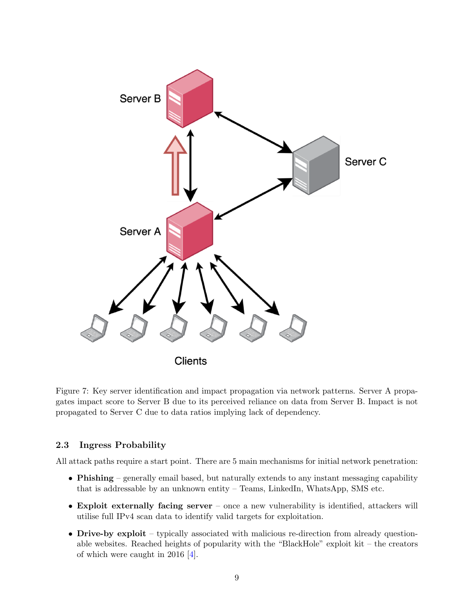

Figure 7: Key server identification and impact propagation via network patterns. Server A propagates impact score to Server B due to its perceived reliance on data from Server B. Impact is not propagated to Server C due to data ratios implying lack of dependency.

### 2.3 Ingress Probability

All attack paths require a start point. There are 5 main mechanisms for initial network penetration:

- Phishing generally email based, but naturally extends to any instant messaging capability that is addressable by an unknown entity – Teams, LinkedIn, WhatsApp, SMS etc.
- Exploit externally facing server once a new vulnerability is identified, attackers will utilise full IPv4 scan data to identify valid targets for exploitation.
- Drive-by exploit typically associated with malicious re-direction from already questionable websites. Reached heights of popularity with the "BlackHole" exploit kit – the creators of which were caught in 2016 [\[4\]](#page-10-3).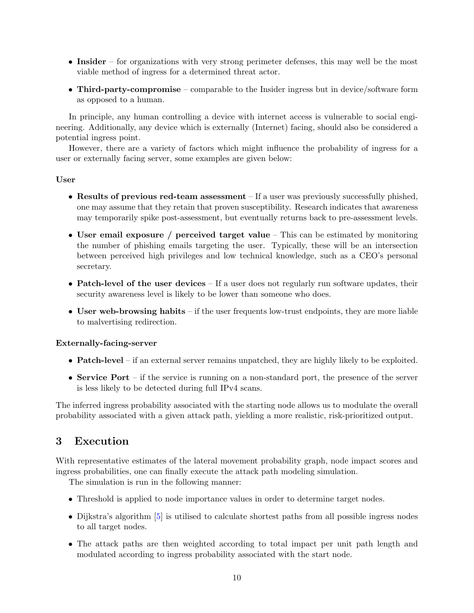- Insider for organizations with very strong perimeter defenses, this may well be the most viable method of ingress for a determined threat actor.
- Third-party-compromise comparable to the Insider ingress but in device/software form as opposed to a human.

In principle, any human controlling a device with internet access is vulnerable to social engineering. Additionally, any device which is externally (Internet) facing, should also be considered a potential ingress point.

However, there are a variety of factors which might influence the probability of ingress for a user or externally facing server, some examples are given below:

#### User

- Results of previous red-team assessment If a user was previously successfully phished, one may assume that they retain that proven susceptibility. Research indicates that awareness may temporarily spike post-assessment, but eventually returns back to pre-assessment levels.
- User email exposure / perceived target value This can be estimated by monitoring the number of phishing emails targeting the user. Typically, these will be an intersection between perceived high privileges and low technical knowledge, such as a CEO's personal secretary.
- Patch-level of the user devices  $-$  If a user does not regularly run software updates, their security awareness level is likely to be lower than someone who does.
- User web-browsing habits if the user frequents low-trust endpoints, they are more liable to malvertising redirection.

#### Externally-facing-server

- **Patch-level** if an external server remains unpatched, they are highly likely to be exploited.
- Service Port if the service is running on a non-standard port, the presence of the server is less likely to be detected during full IPv4 scans.

The inferred ingress probability associated with the starting node allows us to modulate the overall probability associated with a given attack path, yielding a more realistic, risk-prioritized output.

# 3 Execution

With representative estimates of the lateral movement probability graph, node impact scores and ingress probabilities, one can finally execute the attack path modeling simulation.

The simulation is run in the following manner:

- Threshold is applied to node importance values in order to determine target nodes.
- Dijkstra's algorithm [\[5\]](#page-10-4) is utilised to calculate shortest paths from all possible ingress nodes to all target nodes.
- The attack paths are then weighted according to total impact per unit path length and modulated according to ingress probability associated with the start node.